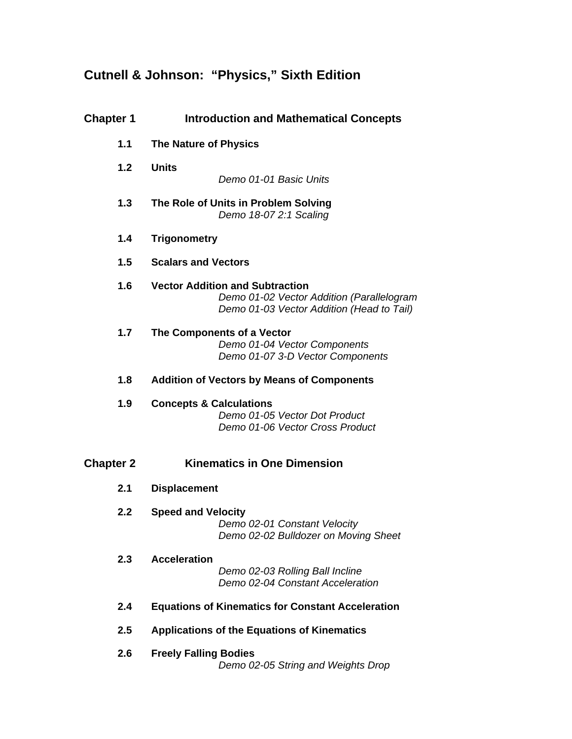## **Cutnell & Johnson: "Physics," Sixth Edition**

| <b>Chapter 1</b> | <b>Introduction and Mathematical Concepts</b>                                                                                    |
|------------------|----------------------------------------------------------------------------------------------------------------------------------|
| 1.1              | <b>The Nature of Physics</b>                                                                                                     |
| 1.2              | <b>Units</b>                                                                                                                     |
|                  | Demo 01-01 Basic Units                                                                                                           |
| 1.3              | The Role of Units in Problem Solving<br>Demo 18-07 2:1 Scaling                                                                   |
| 1.4              | <b>Trigonometry</b>                                                                                                              |
| 1.5              | <b>Scalars and Vectors</b>                                                                                                       |
| 1.6              | <b>Vector Addition and Subtraction</b><br>Demo 01-02 Vector Addition (Parallelogram<br>Demo 01-03 Vector Addition (Head to Tail) |
| 1.7              | The Components of a Vector<br>Demo 01-04 Vector Components<br>Demo 01-07 3-D Vector Components                                   |
| 1.8              | <b>Addition of Vectors by Means of Components</b>                                                                                |
| 1.9              | <b>Concepts &amp; Calculations</b><br>Demo 01-05 Vector Dot Product<br>Demo 01-06 Vector Cross Product                           |
| <b>Chapter 2</b> | <b>Kinematics in One Dimension</b>                                                                                               |
| 2.1              | <b>Displacement</b>                                                                                                              |
| 2.2              | <b>Speed and Velocity</b><br>Demo 02-01 Constant Velocity<br>Demo 02-02 Bulldozer on Moving Sheet                                |
| 2.3              | <b>Acceleration</b><br>Demo 02-03 Rolling Ball Incline<br>Demo 02-04 Constant Acceleration                                       |
| 2.4              | <b>Equations of Kinematics for Constant Acceleration</b>                                                                         |
| 2.5              | <b>Applications of the Equations of Kinematics</b>                                                                               |
| 2.6              | <b>Freely Falling Bodies</b><br>Demo 02-05 String and Weights Drop                                                               |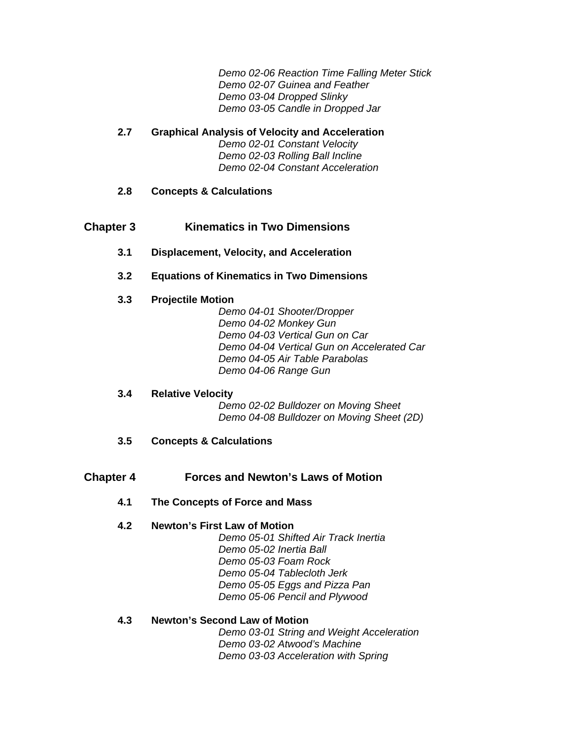*Demo 02-06 Reaction Time Falling Meter Stick Demo 02-07 Guinea and Feather Demo 03-04 Dropped Slinky Demo 03-05 Candle in Dropped Jar* 

## **2.7 Graphical Analysis of Velocity and Acceleration**  *Demo 02-01 Constant Velocity Demo 02-03 Rolling Ball Incline Demo 02-04 Constant Acceleration*

## **2.8 Concepts & Calculations**

## **Chapter 3 Kinematics in Two Dimensions**

- **3.1 Displacement, Velocity, and Acceleration**
- **3.2 Equations of Kinematics in Two Dimensions**

## **3.3 Projectile Motion**

*Demo 04-01 Shooter/Dropper Demo 04-02 Monkey Gun Demo 04-03 Vertical Gun on Car Demo 04-04 Vertical Gun on Accelerated Car Demo 04-05 Air Table Parabolas Demo 04-06 Range Gun* 

#### **3.4 Relative Velocity**

*Demo 02-02 Bulldozer on Moving Sheet Demo 04-08 Bulldozer on Moving Sheet (2D)* 

**3.5 Concepts & Calculations** 

## **Chapter 4 Forces and Newton's Laws of Motion**

**4.1 The Concepts of Force and Mass** 

## **4.2 Newton's First Law of Motion**

*Demo 05-01 Shifted Air Track Inertia Demo 05-02 Inertia Ball Demo 05-03 Foam Rock Demo 05-04 Tablecloth Jerk Demo 05-05 Eggs and Pizza Pan Demo 05-06 Pencil and Plywood* 

#### **4.3 Newton's Second Law of Motion**

*Demo 03-01 String and Weight Acceleration Demo 03-02 Atwood's Machine Demo 03-03 Acceleration with Spring*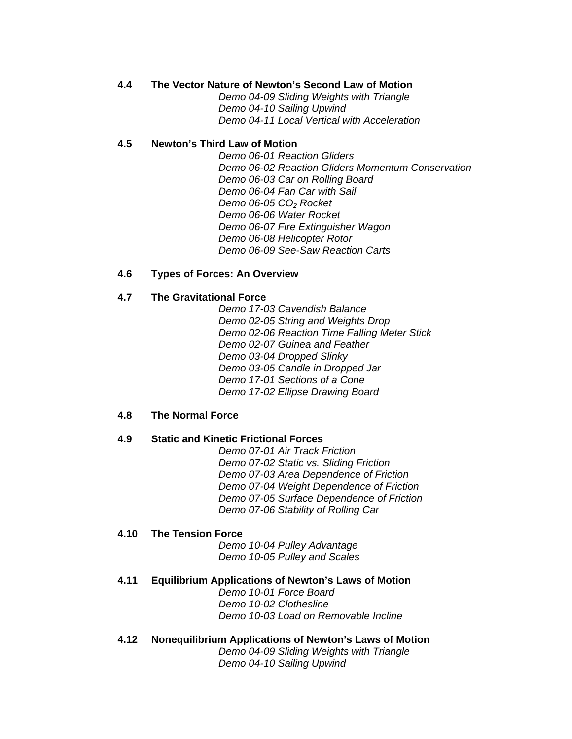## **4.4 The Vector Nature of Newton's Second Law of Motion**

*Demo 04-09 Sliding Weights with Triangle Demo 04-10 Sailing Upwind Demo 04-11 Local Vertical with Acceleration* 

## **4.5 Newton's Third Law of Motion**

*Demo 06-01 Reaction Gliders Demo 06-02 Reaction Gliders Momentum Conservation Demo 06-03 Car on Rolling Board Demo 06-04 Fan Car with Sail Demo 06-05 CO2 Rocket Demo 06-06 Water Rocket Demo 06-07 Fire Extinguisher Wagon Demo 06-08 Helicopter Rotor Demo 06-09 See-Saw Reaction Carts* 

## **4.6 Types of Forces: An Overview**

## **4.7 The Gravitational Force**

*Demo 17-03 Cavendish Balance Demo 02-05 String and Weights Drop Demo 02-06 Reaction Time Falling Meter Stick Demo 02-07 Guinea and Feather Demo 03-04 Dropped Slinky Demo 03-05 Candle in Dropped Jar Demo 17-01 Sections of a Cone Demo 17-02 Ellipse Drawing Board* 

## **4.8 The Normal Force**

## **4.9 Static and Kinetic Frictional Forces**

*Demo 07-01 Air Track Friction Demo 07-02 Static vs. Sliding Friction Demo 07-03 Area Dependence of Friction Demo 07-04 Weight Dependence of Friction Demo 07-05 Surface Dependence of Friction Demo 07-06 Stability of Rolling Car* 

#### **4.10 The Tension Force**

*Demo 10-04 Pulley Advantage Demo 10-05 Pulley and Scales* 

#### **4.11 Equilibrium Applications of Newton's Laws of Motion**

*Demo 10-01 Force Board Demo 10-02 Clothesline Demo 10-03 Load on Removable Incline* 

## **4.12 Nonequilibrium Applications of Newton's Laws of Motion**

*Demo 04-09 Sliding Weights with Triangle Demo 04-10 Sailing Upwind*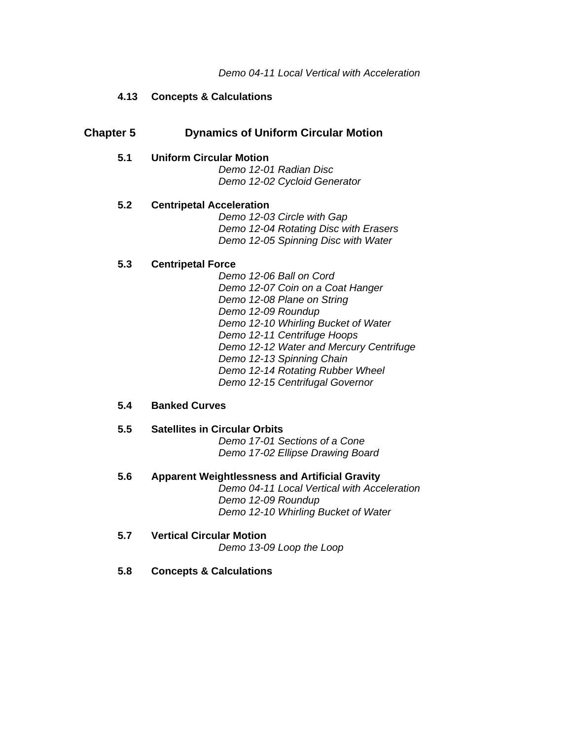## **4.13 Concepts & Calculations**

## **Chapter 5 Dynamics of Uniform Circular Motion**

#### **5.1 Uniform Circular Motion**

*Demo 12-01 Radian Disc Demo 12-02 Cycloid Generator* 

## **5.2 Centripetal Acceleration**

*Demo 12-03 Circle with Gap Demo 12-04 Rotating Disc with Erasers Demo 12-05 Spinning Disc with Water* 

## **5.3 Centripetal Force**

*Demo 12-06 Ball on Cord Demo 12-07 Coin on a Coat Hanger Demo 12-08 Plane on String Demo 12-09 Roundup Demo 12-10 Whirling Bucket of Water Demo 12-11 Centrifuge Hoops Demo 12-12 Water and Mercury Centrifuge Demo 12-13 Spinning Chain Demo 12-14 Rotating Rubber Wheel Demo 12-15 Centrifugal Governor* 

## **5.4 Banked Curves**

- **5.5 Satellites in Circular Orbits**  *Demo 17-01 Sections of a Cone Demo 17-02 Ellipse Drawing Board*
- **5.6 Apparent Weightlessness and Artificial Gravity**  *Demo 04-11 Local Vertical with Acceleration Demo 12-09 Roundup Demo 12-10 Whirling Bucket of Water*
- **5.7 Vertical Circular Motion**  *Demo 13-09 Loop the Loop*
- **5.8 Concepts & Calculations**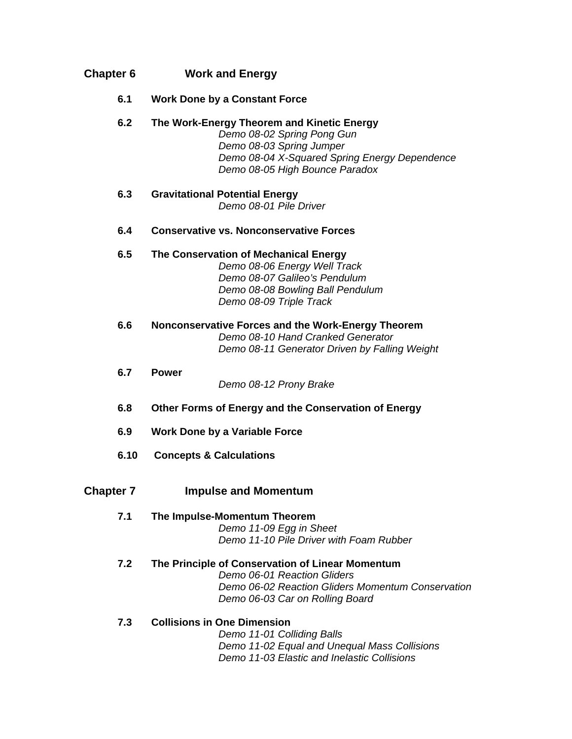| <b>Chapter 6</b> | <b>Work and Energy</b>                                                                                                                                                                  |
|------------------|-----------------------------------------------------------------------------------------------------------------------------------------------------------------------------------------|
| 6.1              | <b>Work Done by a Constant Force</b>                                                                                                                                                    |
| 6.2              | The Work-Energy Theorem and Kinetic Energy<br>Demo 08-02 Spring Pong Gun<br>Demo 08-03 Spring Jumper<br>Demo 08-04 X-Squared Spring Energy Dependence<br>Demo 08-05 High Bounce Paradox |
| 6.3              | <b>Gravitational Potential Energy</b><br>Demo 08-01 Pile Driver                                                                                                                         |
| 6.4              | <b>Conservative vs. Nonconservative Forces</b>                                                                                                                                          |
| 6.5              | The Conservation of Mechanical Energy<br>Demo 08-06 Energy Well Track<br>Demo 08-07 Galileo's Pendulum<br>Demo 08-08 Bowling Ball Pendulum<br>Demo 08-09 Triple Track                   |
| 6.6              | Nonconservative Forces and the Work-Energy Theorem<br>Demo 08-10 Hand Cranked Generator<br>Demo 08-11 Generator Driven by Falling Weight                                                |
| 6.7              | <b>Power</b><br>Demo 08-12 Prony Brake                                                                                                                                                  |
| 6.8              | Other Forms of Energy and the Conservation of Energy                                                                                                                                    |
| 6.9              | <b>Work Done by a Variable Force</b>                                                                                                                                                    |
| 6.10             | <b>Concepts &amp; Calculations</b>                                                                                                                                                      |
| <b>Chapter 7</b> | <b>Impulse and Momentum</b>                                                                                                                                                             |
| 7.1              | The Impulse-Momentum Theorem<br>Demo 11-09 Egg in Sheet<br>Demo 11-10 Pile Driver with Foam Rubber                                                                                      |
| 7.2              | The Principle of Conservation of Linear Momentum<br>Demo 06-01 Reaction Gliders<br>Demo 06-02 Reaction Gliders Momentum Conservation<br>Demo 06-03 Car on Rolling Board                 |
| 7.3              | <b>Collisions in One Dimension</b><br>Demo 11-01 Colliding Balls<br>Demo 11-02 Equal and Unequal Mass Collisions<br>Demo 11-03 Elastic and Inelastic Collisions                         |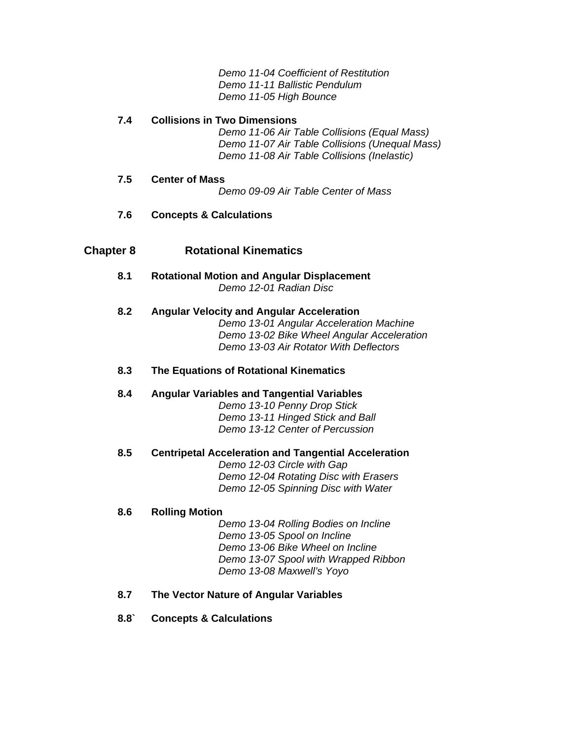*Demo 11-04 Coefficient of Restitution Demo 11-11 Ballistic Pendulum Demo 11-05 High Bounce* 

## **7.4 Collisions in Two Dimensions**

*Demo 11-06 Air Table Collisions (Equal Mass) Demo 11-07 Air Table Collisions (Unequal Mass) Demo 11-08 Air Table Collisions (Inelastic)* 

## **7.5 Center of Mass**

*Demo 09-09 Air Table Center of Mass* 

## **7.6 Concepts & Calculations**

## **Chapter 8 Rotational Kinematics**

**8.1 Rotational Motion and Angular Displacement**  *Demo 12-01 Radian Disc* 

## **8.2 Angular Velocity and Angular Acceleration**

*Demo 13-01 Angular Acceleration Machine Demo 13-02 Bike Wheel Angular Acceleration Demo 13-03 Air Rotator With Deflectors* 

## **8.3 The Equations of Rotational Kinematics**

#### **8.4 Angular Variables and Tangential Variables**

*Demo 13-10 Penny Drop Stick Demo 13-11 Hinged Stick and Ball Demo 13-12 Center of Percussion* 

## **8.5 Centripetal Acceleration and Tangential Acceleration**

*Demo 12-03 Circle with Gap Demo 12-04 Rotating Disc with Erasers Demo 12-05 Spinning Disc with Water* 

#### **8.6 Rolling Motion**

*Demo 13-04 Rolling Bodies on Incline Demo 13-05 Spool on Incline Demo 13-06 Bike Wheel on Incline Demo 13-07 Spool with Wrapped Ribbon Demo 13-08 Maxwell's Yoyo* 

## **8.7 The Vector Nature of Angular Variables**

**8.8` Concepts & Calculations**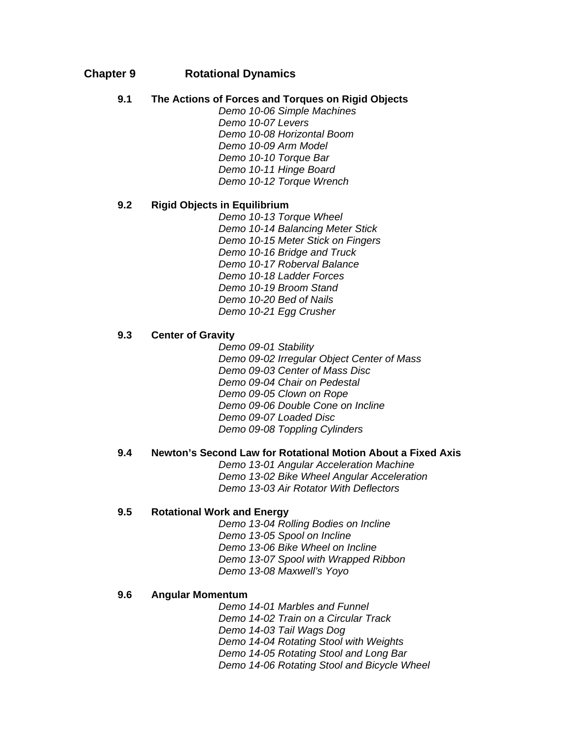## **Chapter 9 Rotational Dynamics**

## **9.1 The Actions of Forces and Torques on Rigid Objects**

*Demo 10-06 Simple Machines Demo 10-07 Levers Demo 10-08 Horizontal Boom Demo 10-09 Arm Model Demo 10-10 Torque Bar Demo 10-11 Hinge Board Demo 10-12 Torque Wrench* 

## **9.2 Rigid Objects in Equilibrium**

*Demo 10-13 Torque Wheel Demo 10-14 Balancing Meter Stick Demo 10-15 Meter Stick on Fingers Demo 10-16 Bridge and Truck Demo 10-17 Roberval Balance Demo 10-18 Ladder Forces Demo 10-19 Broom Stand Demo 10-20 Bed of Nails Demo 10-21 Egg Crusher* 

## **9.3 Center of Gravity**

*Demo 09-01 Stability Demo 09-02 Irregular Object Center of Mass Demo 09-03 Center of Mass Disc Demo 09-04 Chair on Pedestal Demo 09-05 Clown on Rope Demo 09-06 Double Cone on Incline Demo 09-07 Loaded Disc Demo 09-08 Toppling Cylinders* 

## **9.4 Newton's Second Law for Rotational Motion About a Fixed Axis**

*Demo 13-01 Angular Acceleration Machine Demo 13-02 Bike Wheel Angular Acceleration Demo 13-03 Air Rotator With Deflectors* 

#### **9.5 Rotational Work and Energy**

*Demo 13-04 Rolling Bodies on Incline Demo 13-05 Spool on Incline Demo 13-06 Bike Wheel on Incline Demo 13-07 Spool with Wrapped Ribbon Demo 13-08 Maxwell's Yoyo* 

#### **9.6 Angular Momentum**

*Demo 14-01 Marbles and Funnel Demo 14-02 Train on a Circular Track Demo 14-03 Tail Wags Dog Demo 14-04 Rotating Stool with Weights Demo 14-05 Rotating Stool and Long Bar Demo 14-06 Rotating Stool and Bicycle Wheel*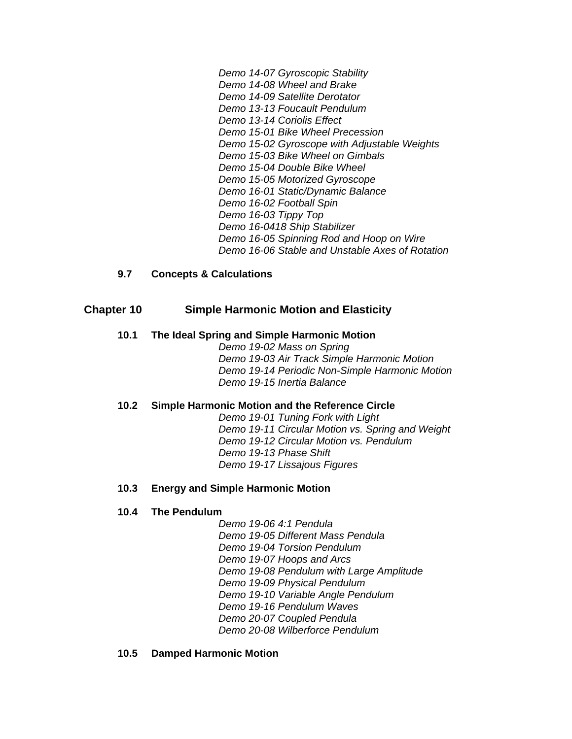*Demo 14-07 Gyroscopic Stability Demo 14-08 Wheel and Brake Demo 14-09 Satellite Derotator Demo 13-13 Foucault Pendulum Demo 13-14 Coriolis Effect Demo 15-01 Bike Wheel Precession Demo 15-02 Gyroscope with Adjustable Weights Demo 15-03 Bike Wheel on Gimbals Demo 15-04 Double Bike Wheel Demo 15-05 Motorized Gyroscope Demo 16-01 Static/Dynamic Balance Demo 16-02 Football Spin Demo 16-03 Tippy Top Demo 16-0418 Ship Stabilizer Demo 16-05 Spinning Rod and Hoop on Wire Demo 16-06 Stable and Unstable Axes of Rotation* 

## **9.7 Concepts & Calculations**

## **Chapter 10 Simple Harmonic Motion and Elasticity**

#### **10.1 The Ideal Spring and Simple Harmonic Motion**

*Demo 19-02 Mass on Spring Demo 19-03 Air Track Simple Harmonic Motion Demo 19-14 Periodic Non-Simple Harmonic Motion Demo 19-15 Inertia Balance* 

#### **10.2 Simple Harmonic Motion and the Reference Circle**

*Demo 19-01 Tuning Fork with Light Demo 19-11 Circular Motion vs. Spring and Weight Demo 19-12 Circular Motion vs. Pendulum Demo 19-13 Phase Shift Demo 19-17 Lissajous Figures* 

#### **10.3 Energy and Simple Harmonic Motion**

#### **10.4 The Pendulum**

*Demo 19-06 4:1 Pendula Demo 19-05 Different Mass Pendula Demo 19-04 Torsion Pendulum Demo 19-07 Hoops and Arcs Demo 19-08 Pendulum with Large Amplitude Demo 19-09 Physical Pendulum Demo 19-10 Variable Angle Pendulum Demo 19-16 Pendulum Waves Demo 20-07 Coupled Pendula Demo 20-08 Wilberforce Pendulum* 

#### **10.5 Damped Harmonic Motion**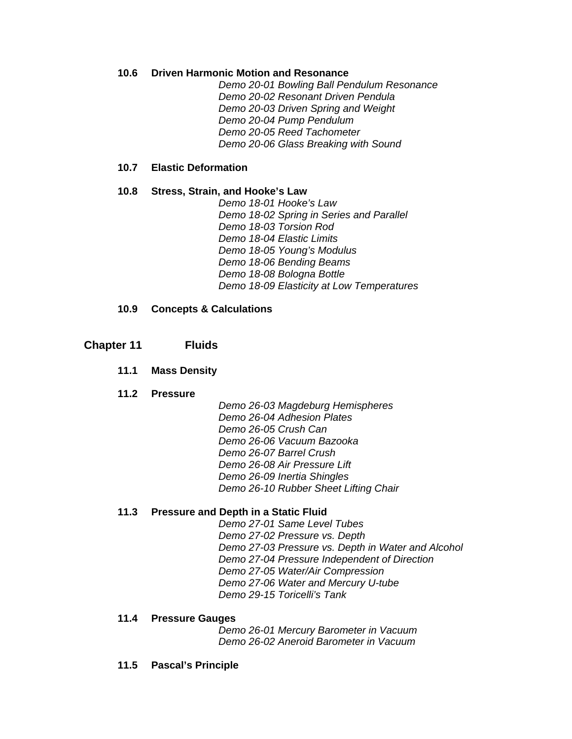## **10.6 Driven Harmonic Motion and Resonance**

*Demo 20-01 Bowling Ball Pendulum Resonance Demo 20-02 Resonant Driven Pendula Demo 20-03 Driven Spring and Weight Demo 20-04 Pump Pendulum Demo 20-05 Reed Tachometer Demo 20-06 Glass Breaking with Sound* 

#### **10.7 Elastic Deformation**

## **10.8 Stress, Strain, and Hooke's Law**

*Demo 18-01 Hooke's Law Demo 18-02 Spring in Series and Parallel Demo 18-03 Torsion Rod Demo 18-04 Elastic Limits Demo 18-05 Young's Modulus Demo 18-06 Bending Beams Demo 18-08 Bologna Bottle Demo 18-09 Elasticity at Low Temperatures* 

## **10.9 Concepts & Calculations**

## **Chapter 11 Fluids**

## **11.1 Mass Density**

#### **11.2 Pressure**

*Demo 26-03 Magdeburg Hemispheres Demo 26-04 Adhesion Plates Demo 26-05 Crush Can Demo 26-06 Vacuum Bazooka Demo 26-07 Barrel Crush Demo 26-08 Air Pressure Lift Demo 26-09 Inertia Shingles Demo 26-10 Rubber Sheet Lifting Chair* 

## **11.3 Pressure and Depth in a Static Fluid**

*Demo 27-01 Same Level Tubes Demo 27-02 Pressure vs. Depth Demo 27-03 Pressure vs. Depth in Water and Alcohol Demo 27-04 Pressure Independent of Direction Demo 27-05 Water/Air Compression Demo 27-06 Water and Mercury U-tube Demo 29-15 Toricelli's Tank* 

#### **11.4 Pressure Gauges**

*Demo 26-01 Mercury Barometer in Vacuum Demo 26-02 Aneroid Barometer in Vacuum* 

**11.5 Pascal's Principle**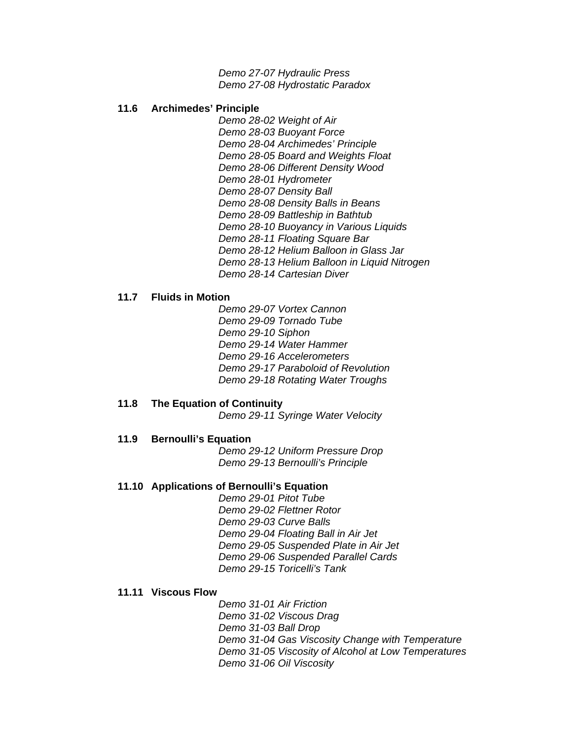*Demo 27-07 Hydraulic Press Demo 27-08 Hydrostatic Paradox* 

#### **11.6 Archimedes' Principle**

*Demo 28-02 Weight of Air Demo 28-03 Buoyant Force Demo 28-04 Archimedes' Principle Demo 28-05 Board and Weights Float Demo 28-06 Different Density Wood Demo 28-01 Hydrometer Demo 28-07 Density Ball Demo 28-08 Density Balls in Beans Demo 28-09 Battleship in Bathtub Demo 28-10 Buoyancy in Various Liquids Demo 28-11 Floating Square Bar Demo 28-12 Helium Balloon in Glass Jar Demo 28-13 Helium Balloon in Liquid Nitrogen Demo 28-14 Cartesian Diver* 

#### **11.7 Fluids in Motion**

*Demo 29-07 Vortex Cannon Demo 29-09 Tornado Tube Demo 29-10 Siphon Demo 29-14 Water Hammer Demo 29-16 Accelerometers Demo 29-17 Paraboloid of Revolution Demo 29-18 Rotating Water Troughs* 

#### **11.8 The Equation of Continuity**

*Demo 29-11 Syringe Water Velocity* 

#### **11.9 Bernoulli's Equation**

*Demo 29-12 Uniform Pressure Drop Demo 29-13 Bernoulli's Principle* 

#### **11.10 Applications of Bernoulli's Equation**

*Demo 29-01 Pitot Tube Demo 29-02 Flettner Rotor Demo 29-03 Curve Balls Demo 29-04 Floating Ball in Air Jet Demo 29-05 Suspended Plate in Air Jet Demo 29-06 Suspended Parallel Cards Demo 29-15 Toricelli's Tank* 

#### **11.11 Viscous Flow**

*Demo 31-01 Air Friction Demo 31-02 Viscous Drag Demo 31-03 Ball Drop Demo 31-04 Gas Viscosity Change with Temperature Demo 31-05 Viscosity of Alcohol at Low Temperatures Demo 31-06 Oil Viscosity*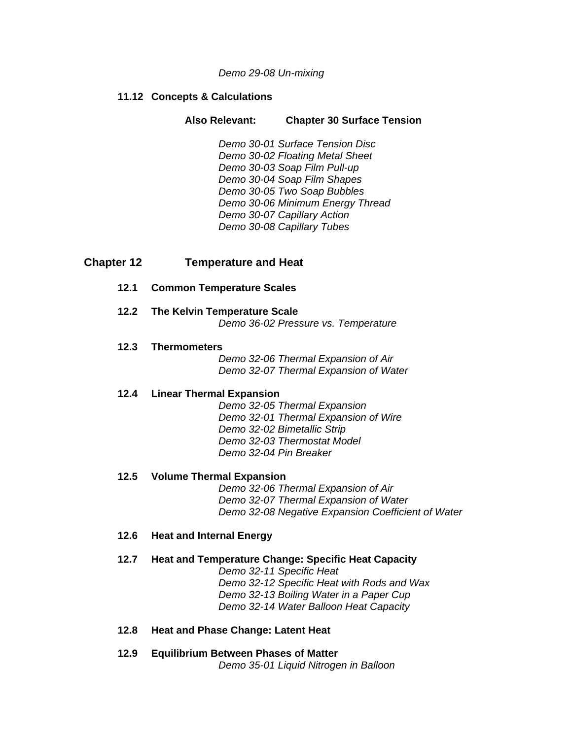#### *Demo 29-08 Un-mixing*

#### **11.12 Concepts & Calculations**

### **Also Relevant: Chapter 30 Surface Tension**

*Demo 30-01 Surface Tension Disc Demo 30-02 Floating Metal Sheet Demo 30-03 Soap Film Pull-up Demo 30-04 Soap Film Shapes Demo 30-05 Two Soap Bubbles Demo 30-06 Minimum Energy Thread Demo 30-07 Capillary Action Demo 30-08 Capillary Tubes* 

## **Chapter 12 Temperature and Heat**

#### **12.1 Common Temperature Scales**

#### **12.2 The Kelvin Temperature Scale**  *Demo 36-02 Pressure vs. Temperature*

#### **12.3 Thermometers**

*Demo 32-06 Thermal Expansion of Air Demo 32-07 Thermal Expansion of Water* 

#### **12.4 Linear Thermal Expansion**

*Demo 32-05 Thermal Expansion Demo 32-01 Thermal Expansion of Wire Demo 32-02 Bimetallic Strip Demo 32-03 Thermostat Model Demo 32-04 Pin Breaker* 

#### **12.5 Volume Thermal Expansion**

*Demo 32-06 Thermal Expansion of Air Demo 32-07 Thermal Expansion of Water Demo 32-08 Negative Expansion Coefficient of Water* 

#### **12.6 Heat and Internal Energy**

#### **12.7 Heat and Temperature Change: Specific Heat Capacity**

*Demo 32-11 Specific Heat Demo 32-12 Specific Heat with Rods and Wax Demo 32-13 Boiling Water in a Paper Cup Demo 32-14 Water Balloon Heat Capacity* 

#### **12.8 Heat and Phase Change: Latent Heat**

## **12.9 Equilibrium Between Phases of Matter**  *Demo 35-01 Liquid Nitrogen in Balloon*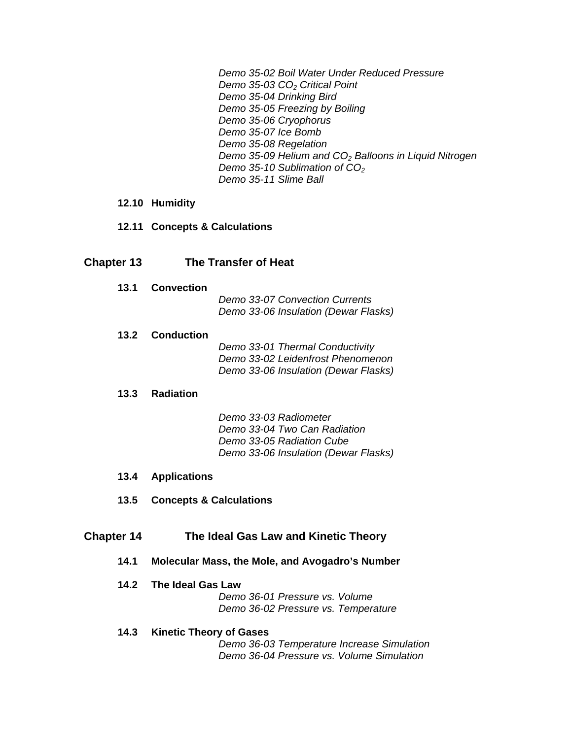*Demo 35-02 Boil Water Under Reduced Pressure Demo 35-03 CO2 Critical Point Demo 35-04 Drinking Bird Demo 35-05 Freezing by Boiling Demo 35-06 Cryophorus Demo 35-07 Ice Bomb Demo 35-08 Regelation Demo 35-09 Helium and CO2 Balloons in Liquid Nitrogen Demo 35-10 Sublimation of CO2 Demo 35-11 Slime Ball* 

- **12.10 Humidity**
- **12.11 Concepts & Calculations**

## **Chapter 13 The Transfer of Heat**

**13.1 Convection** 

*Demo 33-07 Convection Currents Demo 33-06 Insulation (Dewar Flasks)* 

#### **13.2 Conduction**

*Demo 33-01 Thermal Conductivity Demo 33-02 Leidenfrost Phenomenon Demo 33-06 Insulation (Dewar Flasks)* 

## **13.3 Radiation**

*Demo 33-03 Radiometer Demo 33-04 Two Can Radiation Demo 33-05 Radiation Cube Demo 33-06 Insulation (Dewar Flasks)* 

#### **13.4 Applications**

**13.5 Concepts & Calculations** 

## **Chapter 14 The Ideal Gas Law and Kinetic Theory**

**14.1 Molecular Mass, the Mole, and Avogadro's Number** 

## **14.2 The Ideal Gas Law**

*Demo 36-01 Pressure vs. Volume Demo 36-02 Pressure vs. Temperature* 

#### **14.3 Kinetic Theory of Gases**

*Demo 36-03 Temperature Increase Simulation Demo 36-04 Pressure vs. Volume Simulation*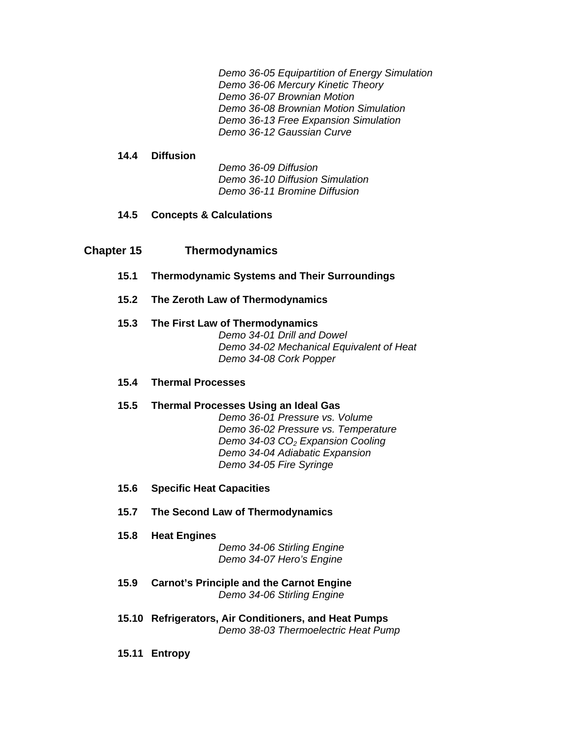*Demo 36-05 Equipartition of Energy Simulation Demo 36-06 Mercury Kinetic Theory Demo 36-07 Brownian Motion Demo 36-08 Brownian Motion Simulation Demo 36-13 Free Expansion Simulation Demo 36-12 Gaussian Curve* 

#### **14.4 Diffusion**

*Demo 36-09 Diffusion Demo 36-10 Diffusion Simulation Demo 36-11 Bromine Diffusion* 

## **14.5 Concepts & Calculations**

## **Chapter 15 Thermodynamics**

- **15.1 Thermodynamic Systems and Their Surroundings**
- **15.2 The Zeroth Law of Thermodynamics**

## **15.3 The First Law of Thermodynamics**

*Demo 34-01 Drill and Dowel Demo 34-02 Mechanical Equivalent of Heat Demo 34-08 Cork Popper* 

#### **15.4 Thermal Processes**

## **15.5 Thermal Processes Using an Ideal Gas**

*Demo 36-01 Pressure vs. Volume Demo 36-02 Pressure vs. Temperature Demo 34-03 CO2 Expansion Cooling Demo 34-04 Adiabatic Expansion Demo 34-05 Fire Syringe* 

#### **15.6 Specific Heat Capacities**

- **15.7 The Second Law of Thermodynamics**
- **15.8 Heat Engines**

*Demo 34-06 Stirling Engine Demo 34-07 Hero's Engine* 

- **15.9 Carnot's Principle and the Carnot Engine**  *Demo 34-06 Stirling Engine*
- **15.10 Refrigerators, Air Conditioners, and Heat Pumps**  *Demo 38-03 Thermoelectric Heat Pump*
- **15.11 Entropy**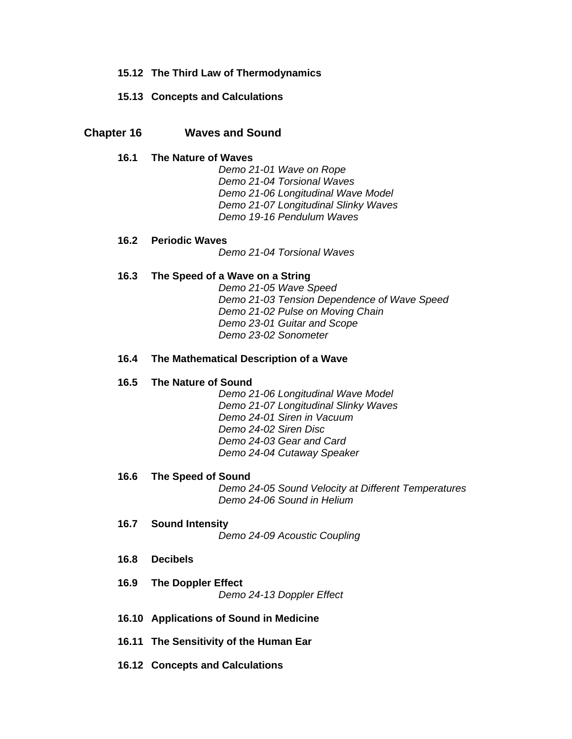## **15.12 The Third Law of Thermodynamics**

### **15.13 Concepts and Calculations**

## **Chapter 16 Waves and Sound**

#### **16.1 The Nature of Waves**

*Demo 21-01 Wave on Rope Demo 21-04 Torsional Waves Demo 21-06 Longitudinal Wave Model Demo 21-07 Longitudinal Slinky Waves Demo 19-16 Pendulum Waves* 

#### **16.2 Periodic Waves**

*Demo 21-04 Torsional Waves* 

#### **16.3 The Speed of a Wave on a String**

*Demo 21-05 Wave Speed Demo 21-03 Tension Dependence of Wave Speed Demo 21-02 Pulse on Moving Chain Demo 23-01 Guitar and Scope Demo 23-02 Sonometer* 

#### **16.4 The Mathematical Description of a Wave**

#### **16.5 The Nature of Sound**

*Demo 21-06 Longitudinal Wave Model Demo 21-07 Longitudinal Slinky Waves Demo 24-01 Siren in Vacuum Demo 24-02 Siren Disc Demo 24-03 Gear and Card Demo 24-04 Cutaway Speaker* 

#### **16.6 The Speed of Sound**

*Demo 24-05 Sound Velocity at Different Temperatures Demo 24-06 Sound in Helium* 

- **16.7 Sound Intensity**  *Demo 24-09 Acoustic Coupling*
- **16.8 Decibels**
- **16.9 The Doppler Effect**  *Demo 24-13 Doppler Effect*
- **16.10 Applications of Sound in Medicine**
- **16.11 The Sensitivity of the Human Ear**
- **16.12 Concepts and Calculations**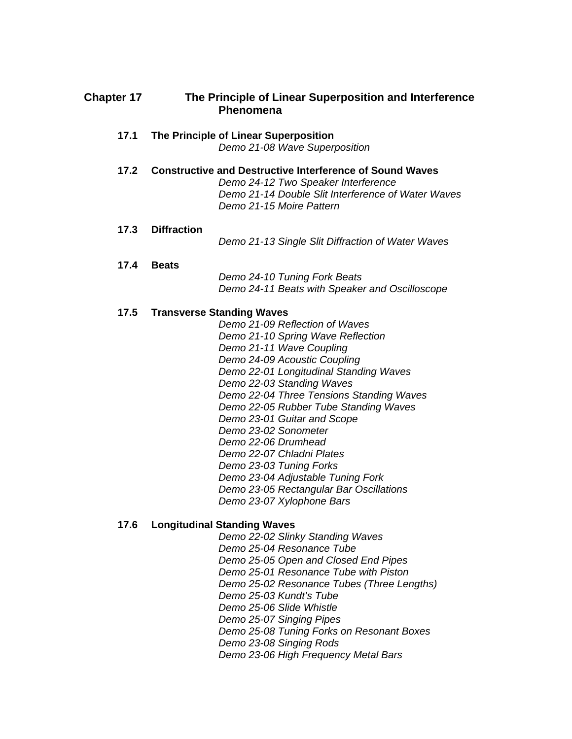## **Chapter 17 The Principle of Linear Superposition and Interference Phenomena**

#### **17.1 The Principle of Linear Superposition**  *Demo 21-08 Wave Superposition*

**17.2 Constructive and Destructive Interference of Sound Waves**  *Demo 24-12 Two Speaker Interference Demo 21-14 Double Slit Interference of Water Waves Demo 21-15 Moire Pattern* 

### **17.3 Diffraction**

*Demo 21-13 Single Slit Diffraction of Water Waves* 

#### **17.4 Beats**

*Demo 24-10 Tuning Fork Beats Demo 24-11 Beats with Speaker and Oscilloscope* 

## **17.5 Transverse Standing Waves**

*Demo 21-09 Reflection of Waves Demo 21-10 Spring Wave Reflection Demo 21-11 Wave Coupling Demo 24-09 Acoustic Coupling Demo 22-01 Longitudinal Standing Waves Demo 22-03 Standing Waves Demo 22-04 Three Tensions Standing Waves Demo 22-05 Rubber Tube Standing Waves Demo 23-01 Guitar and Scope Demo 23-02 Sonometer Demo 22-06 Drumhead Demo 22-07 Chladni Plates Demo 23-03 Tuning Forks Demo 23-04 Adjustable Tuning Fork Demo 23-05 Rectangular Bar Oscillations Demo 23-07 Xylophone Bars* 

## **17.6 Longitudinal Standing Waves**

*Demo 22-02 Slinky Standing Waves Demo 25-04 Resonance Tube Demo 25-05 Open and Closed End Pipes Demo 25-01 Resonance Tube with Piston Demo 25-02 Resonance Tubes (Three Lengths) Demo 25-03 Kundt's Tube Demo 25-06 Slide Whistle Demo 25-07 Singing Pipes Demo 25-08 Tuning Forks on Resonant Boxes Demo 23-08 Singing Rods Demo 23-06 High Frequency Metal Bars*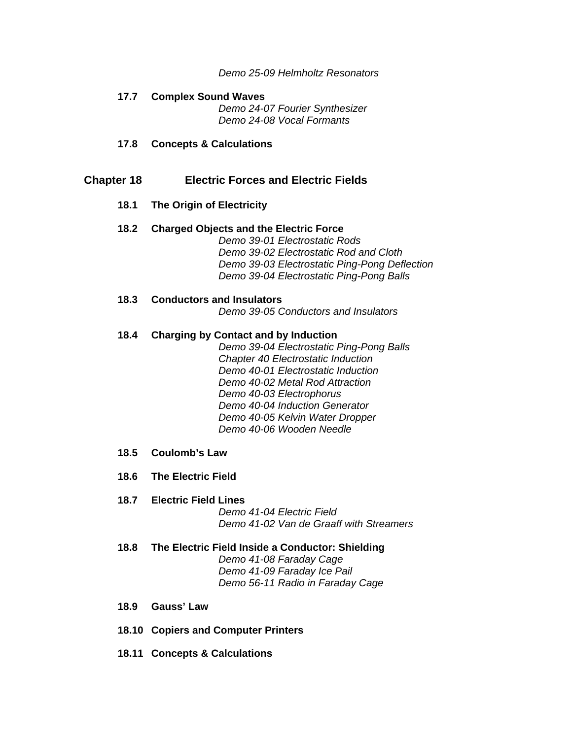*Demo 25-09 Helmholtz Resonators* 

# **17.7 Complex Sound Waves**

*Demo 24-07 Fourier Synthesizer Demo 24-08 Vocal Formants* 

**17.8 Concepts & Calculations** 

## **Chapter 18 Electric Forces and Electric Fields**

**18.1 The Origin of Electricity** 

#### **18.2 Charged Objects and the Electric Force**  *Demo 39-01 Electrostatic Rods*

*Demo 39-02 Electrostatic Rod and Cloth Demo 39-03 Electrostatic Ping-Pong Deflection Demo 39-04 Electrostatic Ping-Pong Balls* 

## **18.3 Conductors and Insulators**

*Demo 39-05 Conductors and Insulators* 

#### **18.4 Charging by Contact and by Induction**

*Demo 39-04 Electrostatic Ping-Pong Balls Chapter 40 Electrostatic Induction Demo 40-01 Electrostatic Induction Demo 40-02 Metal Rod Attraction Demo 40-03 Electrophorus Demo 40-04 Induction Generator Demo 40-05 Kelvin Water Dropper Demo 40-06 Wooden Needle* 

- **18.5 Coulomb's Law**
- **18.6 The Electric Field**

#### **18.7 Electric Field Lines**

*Demo 41-04 Electric Field Demo 41-02 Van de Graaff with Streamers* 

- **18.8 The Electric Field Inside a Conductor: Shielding**  *Demo 41-08 Faraday Cage Demo 41-09 Faraday Ice Pail Demo 56-11 Radio in Faraday Cage*
- **18.9 Gauss' Law**
- **18.10 Copiers and Computer Printers**
- **18.11 Concepts & Calculations**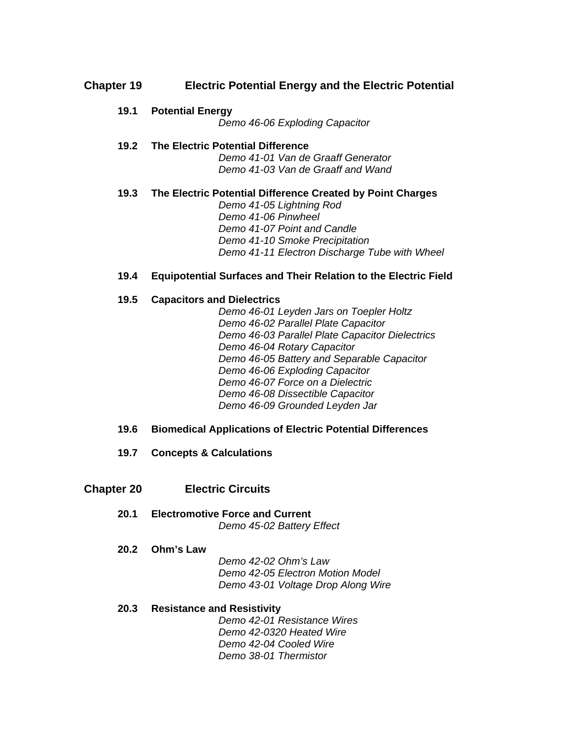## **Chapter 19 Electric Potential Energy and the Electric Potential**

**19.1 Potential Energy** 

*Demo 46-06 Exploding Capacitor* 

## **19.2 The Electric Potential Difference**

*Demo 41-01 Van de Graaff Generator Demo 41-03 Van de Graaff and Wand* 

## **19.3 The Electric Potential Difference Created by Point Charges**

*Demo 41-05 Lightning Rod Demo 41-06 Pinwheel Demo 41-07 Point and Candle Demo 41-10 Smoke Precipitation Demo 41-11 Electron Discharge Tube with Wheel* 

## **19.4 Equipotential Surfaces and Their Relation to the Electric Field**

## **19.5 Capacitors and Dielectrics**

*Demo 46-01 Leyden Jars on Toepler Holtz Demo 46-02 Parallel Plate Capacitor Demo 46-03 Parallel Plate Capacitor Dielectrics Demo 46-04 Rotary Capacitor Demo 46-05 Battery and Separable Capacitor Demo 46-06 Exploding Capacitor Demo 46-07 Force on a Dielectric Demo 46-08 Dissectible Capacitor Demo 46-09 Grounded Leyden Jar* 

#### **19.6 Biomedical Applications of Electric Potential Differences**

**19.7 Concepts & Calculations** 

## **Chapter 20 Electric Circuits**

**20.1 Electromotive Force and Current**  *Demo 45-02 Battery Effect* 

#### **20.2 Ohm's Law**

*Demo 42-02 Ohm's Law Demo 42-05 Electron Motion Model Demo 43-01 Voltage Drop Along Wire* 

#### **20.3 Resistance and Resistivity**

*Demo 42-01 Resistance Wires Demo 42-0320 Heated Wire Demo 42-04 Cooled Wire Demo 38-01 Thermistor*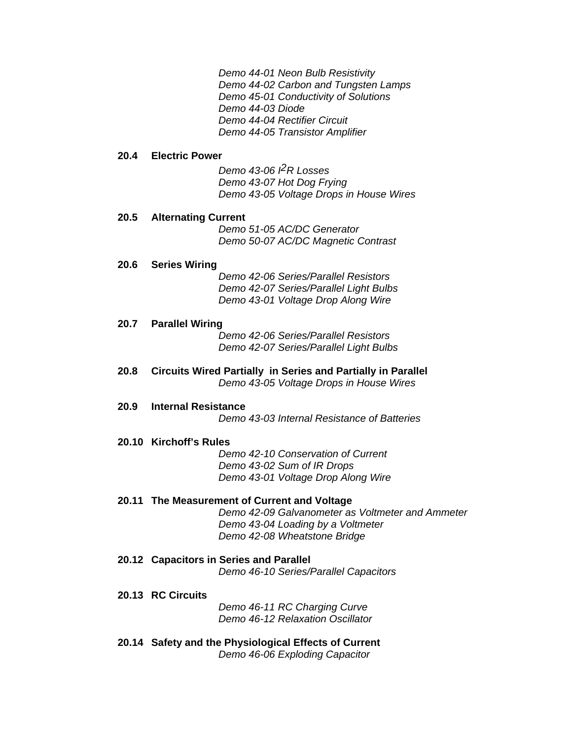*Demo 44-01 Neon Bulb Resistivity Demo 44-02 Carbon and Tungsten Lamps Demo 45-01 Conductivity of Solutions Demo 44-03 Diode Demo 44-04 Rectifier Circuit Demo 44-05 Transistor Amplifier* 

#### **20.4 Electric Power**

*Demo 43-06 I2R Losses Demo 43-07 Hot Dog Frying Demo 43-05 Voltage Drops in House Wires* 

#### **20.5 Alternating Current**

*Demo 51-05 AC/DC Generator Demo 50-07 AC/DC Magnetic Contrast* 

#### **20.6 Series Wiring**

*Demo 42-06 Series/Parallel Resistors Demo 42-07 Series/Parallel Light Bulbs Demo 43-01 Voltage Drop Along Wire* 

#### **20.7 Parallel Wiring**

*Demo 42-06 Series/Parallel Resistors Demo 42-07 Series/Parallel Light Bulbs* 

#### **20.8 Circuits Wired Partially in Series and Partially in Parallel**  *Demo 43-05 Voltage Drops in House Wires*

#### **20.9 Internal Resistance**

*Demo 43-03 Internal Resistance of Batteries* 

#### **20.10 Kirchoff's Rules**

*Demo 42-10 Conservation of Current Demo 43-02 Sum of IR Drops Demo 43-01 Voltage Drop Along Wire* 

#### **20.11 The Measurement of Current and Voltage**

*Demo 42-09 Galvanometer as Voltmeter and Ammeter Demo 43-04 Loading by a Voltmeter Demo 42-08 Wheatstone Bridge* 

**20.12 Capacitors in Series and Parallel**  *Demo 46-10 Series/Parallel Capacitors* 

#### **20.13 RC Circuits**

*Demo 46-11 RC Charging Curve Demo 46-12 Relaxation Oscillator* 

**20.14 Safety and the Physiological Effects of Current**  *Demo 46-06 Exploding Capacitor*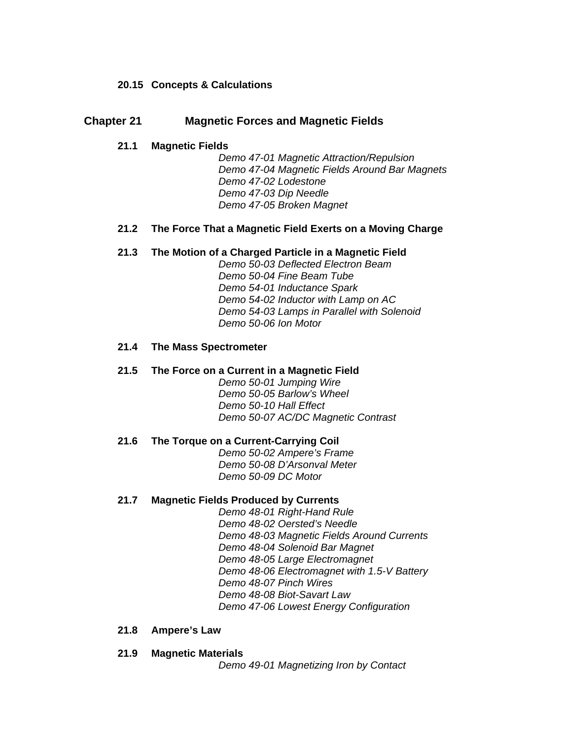## **20.15 Concepts & Calculations**

## **Chapter 21 Magnetic Forces and Magnetic Fields**

#### **21.1 Magnetic Fields**

*Demo 47-01 Magnetic Attraction/Repulsion Demo 47-04 Magnetic Fields Around Bar Magnets Demo 47-02 Lodestone Demo 47-03 Dip Needle Demo 47-05 Broken Magnet* 

#### **21.2 The Force That a Magnetic Field Exerts on a Moving Charge**

#### **21.3 The Motion of a Charged Particle in a Magnetic Field**

*Demo 50-03 Deflected Electron Beam Demo 50-04 Fine Beam Tube Demo 54-01 Inductance Spark Demo 54-02 Inductor with Lamp on AC Demo 54-03 Lamps in Parallel with Solenoid Demo 50-06 Ion Motor* 

## **21.4 The Mass Spectrometer**

### **21.5 The Force on a Current in a Magnetic Field**

*Demo 50-01 Jumping Wire Demo 50-05 Barlow's Wheel Demo 50-10 Hall Effect Demo 50-07 AC/DC Magnetic Contrast* 

#### **21.6 The Torque on a Current-Carrying Coil**

*Demo 50-02 Ampere's Frame Demo 50-08 D'Arsonval Meter Demo 50-09 DC Motor* 

#### **21.7 Magnetic Fields Produced by Currents**

*Demo 48-01 Right-Hand Rule Demo 48-02 Oersted's Needle Demo 48-03 Magnetic Fields Around Currents Demo 48-04 Solenoid Bar Magnet Demo 48-05 Large Electromagnet Demo 48-06 Electromagnet with 1.5-V Battery Demo 48-07 Pinch Wires Demo 48-08 Biot-Savart Law Demo 47-06 Lowest Energy Configuration* 

#### **21.8 Ampere's Law**

#### **21.9 Magnetic Materials**

*Demo 49-01 Magnetizing Iron by Contact*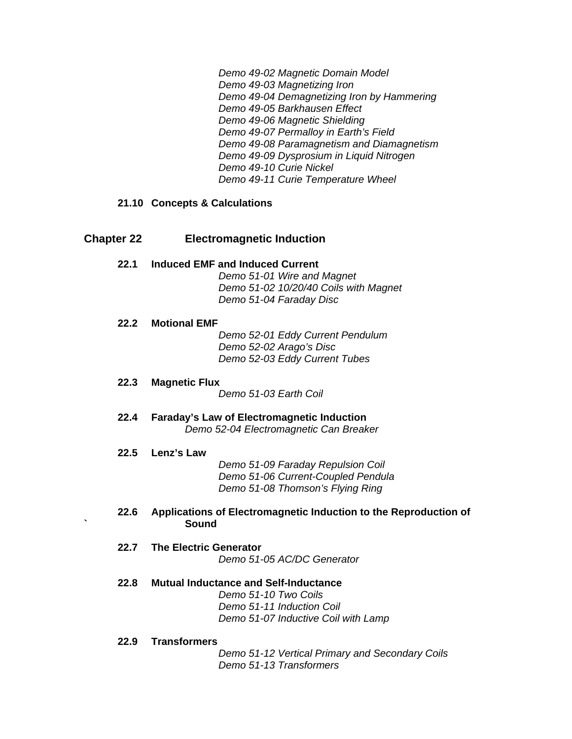*Demo 49-02 Magnetic Domain Model Demo 49-03 Magnetizing Iron Demo 49-04 Demagnetizing Iron by Hammering Demo 49-05 Barkhausen Effect Demo 49-06 Magnetic Shielding Demo 49-07 Permalloy in Earth's Field Demo 49-08 Paramagnetism and Diamagnetism Demo 49-09 Dysprosium in Liquid Nitrogen Demo 49-10 Curie Nickel Demo 49-11 Curie Temperature Wheel* 

## **21.10 Concepts & Calculations**

## **Chapter 22 Electromagnetic Induction**

**22.1 Induced EMF and Induced Current**  *Demo 51-01 Wire and Magnet Demo 51-02 10/20/40 Coils with Magnet Demo 51-04 Faraday Disc* 

#### **22.2 Motional EMF**

*Demo 52-01 Eddy Current Pendulum Demo 52-02 Arago's Disc Demo 52-03 Eddy Current Tubes* 

**22.3 Magnetic Flux** 

*Demo 51-03 Earth Coil* 

**22.4 Faraday's Law of Electromagnetic Induction**  *Demo 52-04 Electromagnetic Can Breaker* 

#### **22.5 Lenz's Law**

*Demo 51-09 Faraday Repulsion Coil Demo 51-06 Current-Coupled Pendula Demo 51-08 Thomson's Flying Ring* 

- **22.6 Applications of Electromagnetic Induction to the Reproduction of ` Sound**
- **22.7 The Electric Generator**  *Demo 51-05 AC/DC Generator*
- **22.8 Mutual Inductance and Self-Inductance**  *Demo 51-10 Two Coils Demo 51-11 Induction Coil Demo 51-07 Inductive Coil with Lamp*
- **22.9 Transformers**

*Demo 51-12 Vertical Primary and Secondary Coils Demo 51-13 Transformers*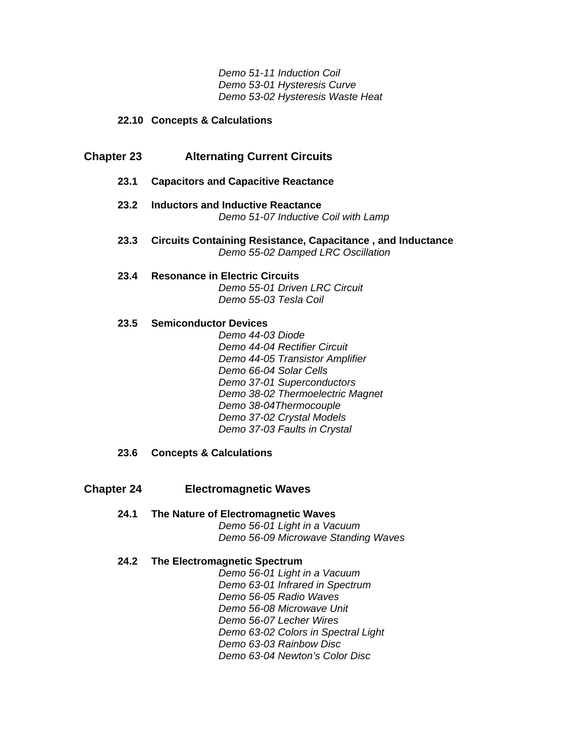*Demo 51-11 Induction Coil Demo 53-01 Hysteresis Curve Demo 53-02 Hysteresis Waste Heat* 

### **22.10 Concepts & Calculations**

## **Chapter 23 Alternating Current Circuits**

- **23.1 Capacitors and Capacitive Reactance**
- **23.2 Inductors and Inductive Reactance**  *Demo 51-07 Inductive Coil with Lamp*
- **23.3 Circuits Containing Resistance, Capacitance , and Inductance**  *Demo 55-02 Damped LRC Oscillation*
- **23.4 Resonance in Electric Circuits**  *Demo 55-01 Driven LRC Circuit Demo 55-03 Tesla Coil*

#### **23.5 Semiconductor Devices**

*Demo 44-03 Diode Demo 44-04 Rectifier Circuit Demo 44-05 Transistor Amplifier Demo 66-04 Solar Cells Demo 37-01 Superconductors Demo 38-02 Thermoelectric Magnet Demo 38-04Thermocouple Demo 37-02 Crystal Models Demo 37-03 Faults in Crystal* 

#### **23.6 Concepts & Calculations**

## **Chapter 24 Electromagnetic Waves**

**24.1 The Nature of Electromagnetic Waves**  *Demo 56-01 Light in a Vacuum Demo 56-09 Microwave Standing Waves* 

#### **24.2 The Electromagnetic Spectrum**

*Demo 56-01 Light in a Vacuum Demo 63-01 Infrared in Spectrum Demo 56-05 Radio Waves Demo 56-08 Microwave Unit Demo 56-07 Lecher Wires Demo 63-02 Colors in Spectral Light Demo 63-03 Rainbow Disc Demo 63-04 Newton's Color Disc*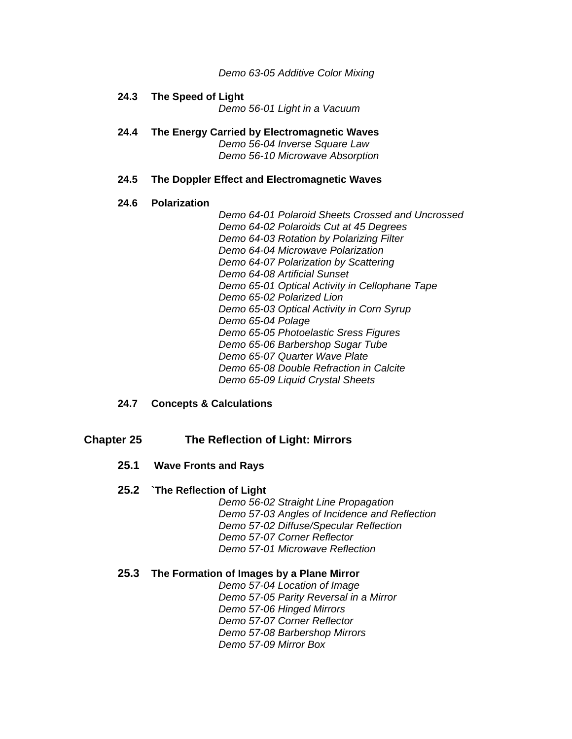*Demo 63-05 Additive Color Mixing* 

# **24.3 The Speed of Light**

*Demo 56-01 Light in a Vacuum* 

**24.4 The Energy Carried by Electromagnetic Waves**  *Demo 56-04 Inverse Square Law Demo 56-10 Microwave Absorption* 

#### **24.5 The Doppler Effect and Electromagnetic Waves**

#### **24.6 Polarization**

*Demo 64-01 Polaroid Sheets Crossed and Uncrossed Demo 64-02 Polaroids Cut at 45 Degrees Demo 64-03 Rotation by Polarizing Filter Demo 64-04 Microwave Polarization Demo 64-07 Polarization by Scattering Demo 64-08 Artificial Sunset Demo 65-01 Optical Activity in Cellophane Tape Demo 65-02 Polarized Lion Demo 65-03 Optical Activity in Corn Syrup Demo 65-04 Polage Demo 65-05 Photoelastic Sress Figures Demo 65-06 Barbershop Sugar Tube Demo 65-07 Quarter Wave Plate Demo 65-08 Double Refraction in Calcite Demo 65-09 Liquid Crystal Sheets* 

#### **24.7 Concepts & Calculations**

### **Chapter 25 The Reflection of Light: Mirrors**

#### **25.1 Wave Fronts and Rays**

#### **25.2 `The Reflection of Light**

*Demo 56-02 Straight Line Propagation Demo 57-03 Angles of Incidence and Reflection Demo 57-02 Diffuse/Specular Reflection Demo 57-07 Corner Reflector Demo 57-01 Microwave Reflection* 

#### **25.3 The Formation of Images by a Plane Mirror**

*Demo 57-04 Location of Image Demo 57-05 Parity Reversal in a Mirror Demo 57-06 Hinged Mirrors Demo 57-07 Corner Reflector Demo 57-08 Barbershop Mirrors Demo 57-09 Mirror Box*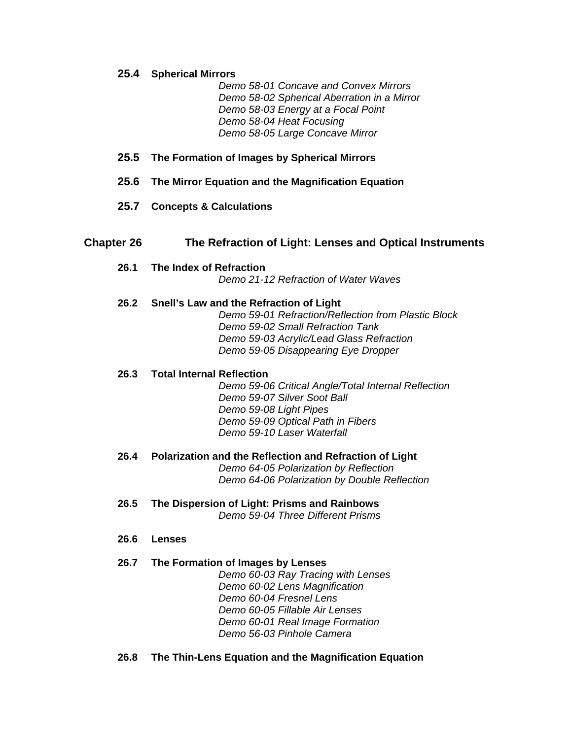**25.4 Spherical Mirrors** 

*Demo 58-01 Concave and Convex Mirrors Demo 58-02 Spherical Aberration in a Mirror Demo 58-03 Energy at a Focal Point Demo 58-04 Heat Focusing Demo 58-05 Large Concave Mirror* 

- **25.5 The Formation of Images by Spherical Mirrors**
- **25.6 The Mirror Equation and the Magnification Equation**
- **25.7 Concepts & Calculations**

## **Chapter 26 The Refraction of Light: Lenses and Optical Instruments**

**26.1 The Index of Refraction**  *Demo 21-12 Refraction of Water Waves* 

#### **26.2 Snell's Law and the Refraction of Light**

*Demo 59-01 Refraction/Reflection from Plastic Block Demo 59-02 Small Refraction Tank Demo 59-03 Acrylic/Lead Glass Refraction Demo 59-05 Disappearing Eye Dropper* 

#### **26.3 Total Internal Reflection**

*Demo 59-06 Critical Angle/Total Internal Reflection Demo 59-07 Silver Soot Ball Demo 59-08 Light Pipes Demo 59-09 Optical Path in Fibers Demo 59-10 Laser Waterfall* 

- **26.4 Polarization and the Reflection and Refraction of Light**  *Demo 64-05 Polarization by Reflection Demo 64-06 Polarization by Double Reflection*
- **26.5 The Dispersion of Light: Prisms and Rainbows**  *Demo 59-04 Three Different Prisms*
- **26.6 Lenses**

#### **26.7 The Formation of Images by Lenses**

*Demo 60-03 Ray Tracing with Lenses Demo 60-02 Lens Magnification Demo 60-04 Fresnel Lens Demo 60-05 Fillable Air Lenses Demo 60-01 Real Image Formation Demo 56-03 Pinhole Camera* 

**26.8 The Thin-Lens Equation and the Magnification Equation**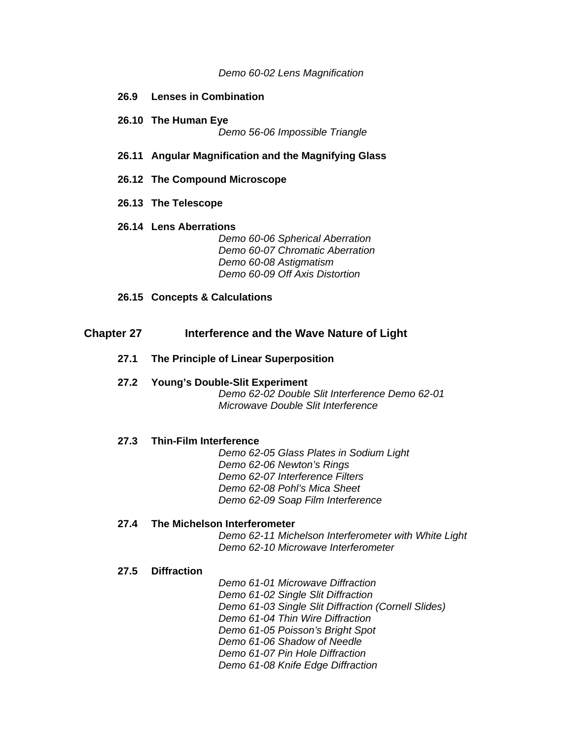#### *Demo 60-02 Lens Magnification*

- **26.9 Lenses in Combination**
- **26.10 The Human Eye**  *Demo 56-06 Impossible Triangle*
- **26.11 Angular Magnification and the Magnifying Glass**
- **26.12 The Compound Microscope**
- **26.13 The Telescope**
- **26.14 Lens Aberrations**

*Demo 60-06 Spherical Aberration Demo 60-07 Chromatic Aberration Demo 60-08 Astigmatism Demo 60-09 Off Axis Distortion* 

**26.15 Concepts & Calculations** 

## **Chapter 27 Interference and the Wave Nature of Light**

- **27.1 The Principle of Linear Superposition**
- **27.2 Young's Double-Slit Experiment**  *Demo 62-02 Double Slit Interference Demo 62-01 Microwave Double Slit Interference*

#### **27.3 Thin-Film Interference**

*Demo 62-05 Glass Plates in Sodium Light Demo 62-06 Newton's Rings Demo 62-07 Interference Filters Demo 62-08 Pohl's Mica Sheet Demo 62-09 Soap Film Interference* 

## **27.4 The Michelson Interferometer**

*Demo 62-11 Michelson Interferometer with White Light Demo 62-10 Microwave Interferometer* 

#### **27.5 Diffraction**

*Demo 61-01 Microwave Diffraction Demo 61-02 Single Slit Diffraction Demo 61-03 Single Slit Diffraction (Cornell Slides) Demo 61-04 Thin Wire Diffraction Demo 61-05 Poisson's Bright Spot Demo 61-06 Shadow of Needle Demo 61-07 Pin Hole Diffraction Demo 61-08 Knife Edge Diffraction*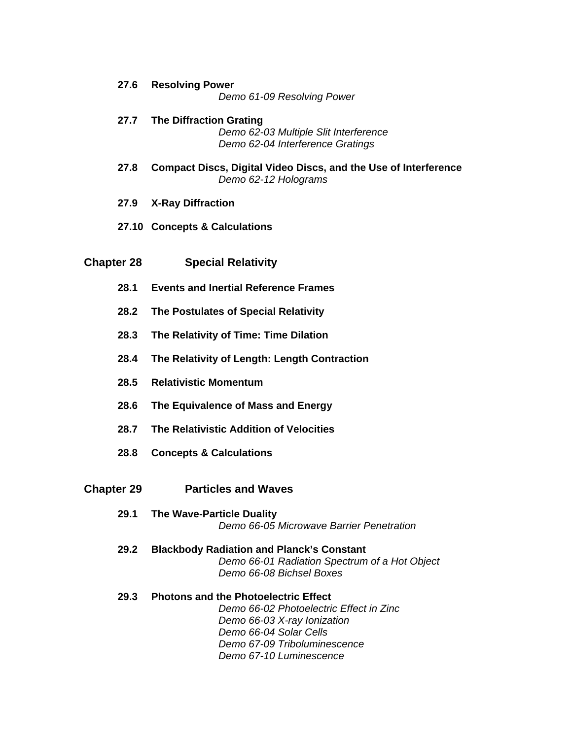- **27.6 Resolving Power**  *Demo 61-09 Resolving Power*
- **27.7 The Diffraction Grating**  *Demo 62-03 Multiple Slit Interference Demo 62-04 Interference Gratings*
- **27.8 Compact Discs, Digital Video Discs, and the Use of Interference**  *Demo 62-12 Holograms*
- **27.9 X-Ray Diffraction**
- **27.10 Concepts & Calculations**

## **Chapter 28 Special Relativity**

- **28.1 Events and Inertial Reference Frames**
- **28.2 The Postulates of Special Relativity**
- **28.3 The Relativity of Time: Time Dilation**
- **28.4 The Relativity of Length: Length Contraction**
- **28.5 Relativistic Momentum**
- **28.6 The Equivalence of Mass and Energy**
- **28.7 The Relativistic Addition of Velocities**
- **28.8 Concepts & Calculations**

#### **Chapter 29 Particles and Waves**

- **29.1 The Wave-Particle Duality**  *Demo 66-05 Microwave Barrier Penetration*
- **29.2 Blackbody Radiation and Planck's Constant**  *Demo 66-01 Radiation Spectrum of a Hot Object Demo 66-08 Bichsel Boxes*
- **29.3 Photons and the Photoelectric Effect**  *Demo 66-02 Photoelectric Effect in Zinc Demo 66-03 X-ray Ionization Demo 66-04 Solar Cells Demo 67-09 Triboluminescence Demo 67-10 Luminescence*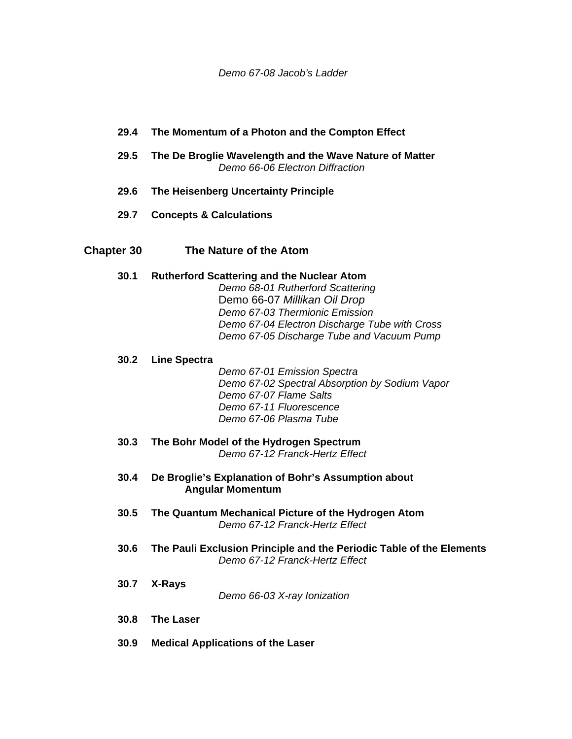## **29.4 The Momentum of a Photon and the Compton Effect**

- **29.5 The De Broglie Wavelength and the Wave Nature of Matter**  *Demo 66-06 Electron Diffraction*
- **29.6 The Heisenberg Uncertainty Principle**
- **29.7 Concepts & Calculations**

## **Chapter 30 The Nature of the Atom**

#### **30.1 Rutherford Scattering and the Nuclear Atom**

*Demo 68-01 Rutherford Scattering*  Demo 66-07 *Millikan Oil Drop Demo 67-03 Thermionic Emission Demo 67-04 Electron Discharge Tube with Cross Demo 67-05 Discharge Tube and Vacuum Pump* 

## **30.2 Line Spectra**

*Demo 67-01 Emission Spectra Demo 67-02 Spectral Absorption by Sodium Vapor Demo 67-07 Flame Salts Demo 67-11 Fluorescence Demo 67-06 Plasma Tube* 

- **30.3 The Bohr Model of the Hydrogen Spectrum**  *Demo 67-12 Franck-Hertz Effect*
- **30.4 De Broglie's Explanation of Bohr's Assumption about Angular Momentum**
- **30.5 The Quantum Mechanical Picture of the Hydrogen Atom**  *Demo 67-12 Franck-Hertz Effect*
- **30.6 The Pauli Exclusion Principle and the Periodic Table of the Elements**  *Demo 67-12 Franck-Hertz Effect*
- **30.7 X-Rays**  *Demo 66-03 X-ray Ionization*
- **30.8 The Laser**
- **30.9 Medical Applications of the Laser**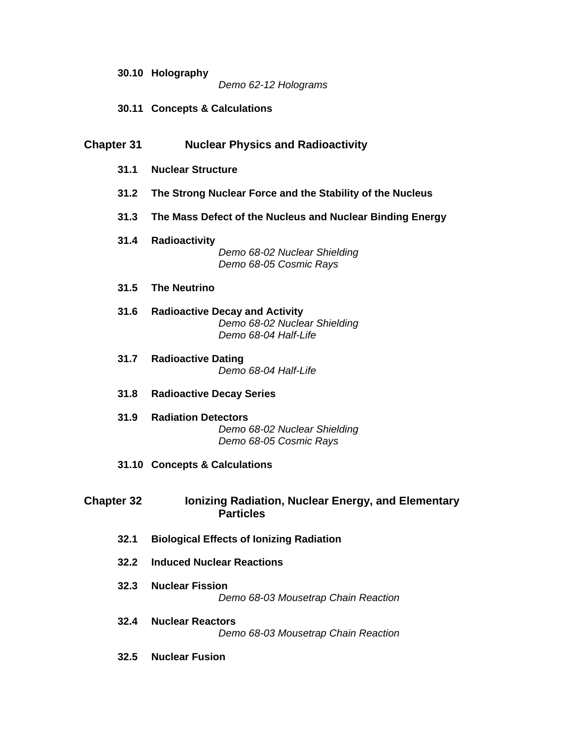#### *Demo 62-12 Holograms*

**30.11 Concepts & Calculations** 

## **Chapter 31 Nuclear Physics and Radioactivity**

- **31.1 Nuclear Structure**
- **31.2 The Strong Nuclear Force and the Stability of the Nucleus**
- **31.3 The Mass Defect of the Nucleus and Nuclear Binding Energy**
- **31.4 Radioactivity**  *Demo 68-02 Nuclear Shielding Demo 68-05 Cosmic Rays*
- **31.5 The Neutrino**
- **31.6 Radioactive Decay and Activity**  *Demo 68-02 Nuclear Shielding Demo 68-04 Half-Life*
- **31.7 Radioactive Dating**  *Demo 68-04 Half-Life*
- **31.8 Radioactive Decay Series**
- **31.9 Radiation Detectors**  *Demo 68-02 Nuclear Shielding Demo 68-05 Cosmic Rays*
- **31.10 Concepts & Calculations**

## **Chapter 32 Ionizing Radiation, Nuclear Energy, and Elementary Particles**

- **32.1 Biological Effects of Ionizing Radiation**
- **32.2 Induced Nuclear Reactions**
- **32.3 Nuclear Fission**  *Demo 68-03 Mousetrap Chain Reaction*
- **32.4 Nuclear Reactors**  *Demo 68-03 Mousetrap Chain Reaction*
- **32.5 Nuclear Fusion**